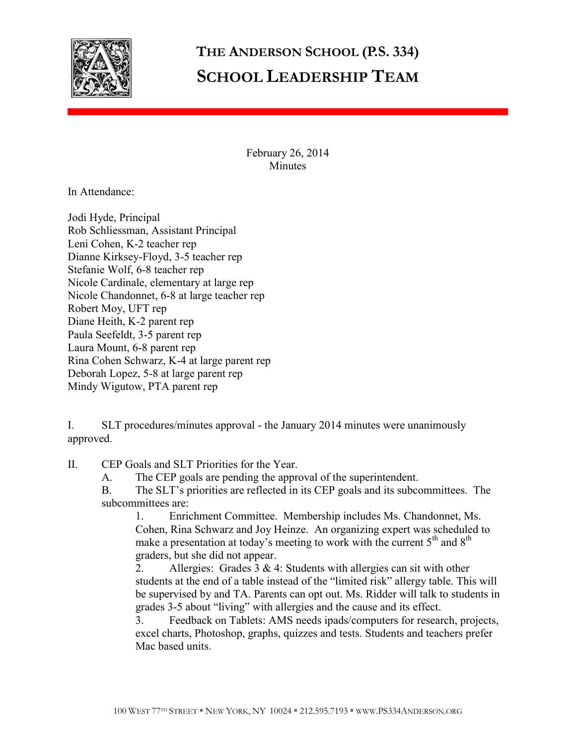

## **THE ANDERSON SCHOOL (P.S. 334) SCHOOL LEADERSHIP TEAM**

February 26, 2014 **Minutes** 

In Attendance:

Jodi Hyde, Principal Rob Schliessman, Assistant Principal Leni Cohen, K-2 teacher rep Dianne Kirksey-Floyd, 3-5 teacher rep Stefanie Wolf, 6-8 teacher rep Nicole Cardinale, elementary at large rep Nicole Chandonnet, 6-8 at large teacher rep Robert Moy, UFT rep Diane Heith, K-2 parent rep Paula Seefeldt, 3-5 parent rep Laura Mount, 6-8 parent rep Rina Cohen Schwarz, K-4 at large parent rep Deborah Lopez, 5-8 at large parent rep Mindy Wigutow, PTA parent rep

I. SLT procedures/minutes approval - the January 2014 minutes were unanimously approved.

II. CEP Goals and SLT Priorities for the Year.

A. The CEP goals are pending the approval of the superintendent.

B. The SLT's priorities are reflected in its CEP goals and its subcommittees. The subcommittees are:

1. Enrichment Committee. Membership includes Ms. Chandonnet, Ms. Cohen, Rina Schwarz and Joy Heinze. An organizing expert was scheduled to make a presentation at today's meeting to work with the current  $5<sup>th</sup>$  and  $8<sup>th</sup>$ graders, but she did not appear.

2. Allergies: Grades  $3 \& 4$ : Students with allergies can sit with other students at the end of a table instead of the "limited risk" allergy table. This will be supervised by and TA. Parents can opt out. Ms. Ridder will talk to students in grades 3-5 about "living" with allergies and the cause and its effect.

3. Feedback on Tablets: AMS needs ipads/computers for research, projects, excel charts, Photoshop, graphs, quizzes and tests. Students and teachers prefer Mac based units.